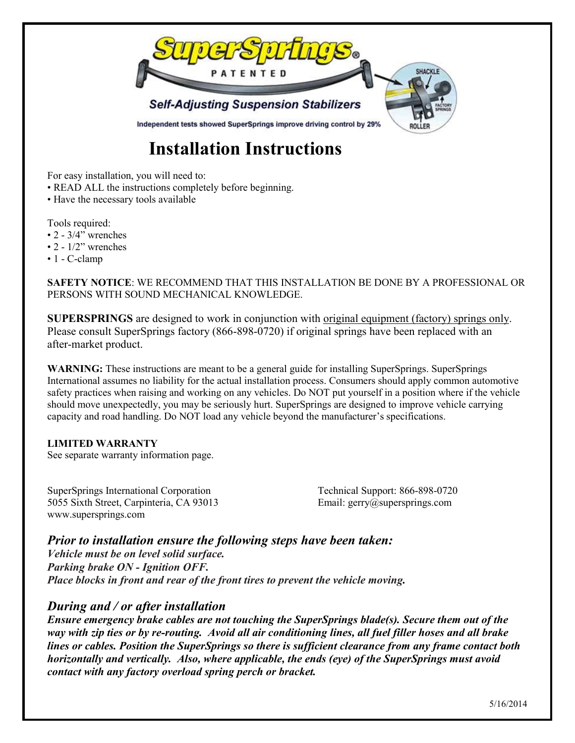

# **Installation Instructions**

For easy installation, you will need to:

- READ ALL the instructions completely before beginning.
- Have the necessary tools available

Tools required:

- $\cdot$  2 3/4" wrenches
- $\cdot$  2  $1/2$ " wrenches
- 1 C-clamp

**SAFETY NOTICE**: WE RECOMMEND THAT THIS INSTALLATION BE DONE BY A PROFESSIONAL OR PERSONS WITH SOUND MECHANICAL KNOWLEDGE.

**SUPERSPRINGS** are designed to work in conjunction with original equipment (factory) springs only. Please consult SuperSprings factory (866-898-0720) if original springs have been replaced with an after-market product.

**WARNING:** These instructions are meant to be a general guide for installing SuperSprings. SuperSprings International assumes no liability for the actual installation process. Consumers should apply common automotive safety practices when raising and working on any vehicles. Do NOT put yourself in a position where if the vehicle should move unexpectedly, you may be seriously hurt. SuperSprings are designed to improve vehicle carrying capacity and road handling. Do NOT load any vehicle beyond the manufacturer's specifications.

#### **LIMITED WARRANTY**

See separate warranty information page.

SuperSprings International Corporation Technical Support: 866-898-0720 5055 Sixth Street, Carpinteria, CA 93013 Email: gerry@supersprings.com www.supersprings.com

*Prior to installation ensure the following steps have been taken:*

*Vehicle must be on level solid surface. Parking brake ON - Ignition OFF. Place blocks in front and rear of the front tires to prevent the vehicle moving.*

# *During and / or after installation*

*Ensure emergency brake cables are not touching the SuperSprings blade(s). Secure them out of the way with zip ties or by re-routing. Avoid all air conditioning lines, all fuel filler hoses and all brake lines or cables. Position the SuperSprings so there is sufficient clearance from any frame contact both horizontally and vertically. Also, where applicable, the ends (eye) of the SuperSprings must avoid contact with any factory overload spring perch or bracket.*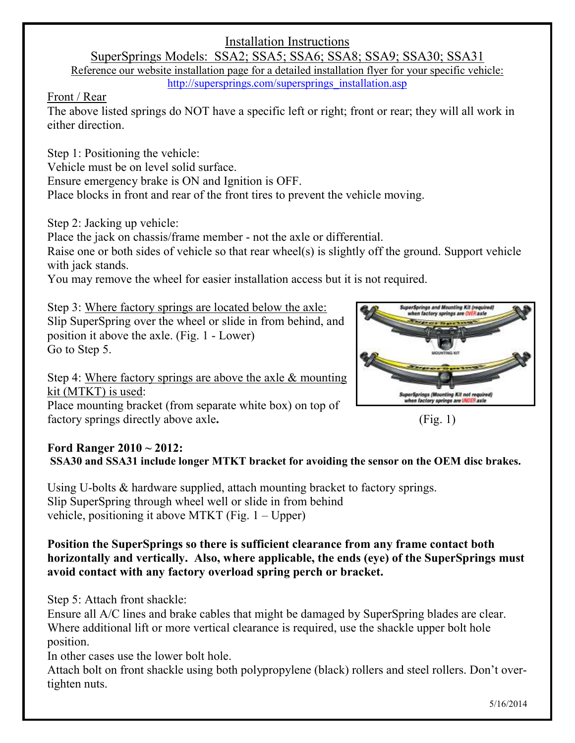# Installation Instructions

SuperSprings Models: SSA2; SSA5; SSA6; SSA8; SSA9; SSA30; SSA31 Reference our website installation page for a detailed installation flyer for your specific vehicle: [http://supersprings.com/supersprings\\_installation.asp](http://supersprings.com/supersprings_installation.asp)

#### Front / Rear

The above listed springs do NOT have a specific left or right; front or rear; they will all work in either direction.

Step 1: Positioning the vehicle: Vehicle must be on level solid surface. Ensure emergency brake is ON and Ignition is OFF. Place blocks in front and rear of the front tires to prevent the vehicle moving.

Step 2: Jacking up vehicle:

Place the jack on chassis/frame member - not the axle or differential.

Raise one or both sides of vehicle so that rear wheel(s) is slightly off the ground. Support vehicle with jack stands.

You may remove the wheel for easier installation access but it is not required.

Step 3: Where factory springs are located below the axle:

Slip SuperSpring over the wheel or slide in from behind, and position it above the axle. (Fig. 1 - Lower) Go to Step 5.

Step 4: Where factory springs are above the axle & mounting kit (MTKT) is used: Place mounting bracket (from separate white box) on top of factory springs directly above axle. (Fig. 1)



### **Ford Ranger 2010 ~ 2012: SSA30 and SSA31 include longer MTKT bracket for avoiding the sensor on the OEM disc brakes.**

Using U-bolts & hardware supplied, attach mounting bracket to factory springs. Slip SuperSpring through wheel well or slide in from behind vehicle, positioning it above MTKT (Fig.  $1 - Upper$ )

**Position the SuperSprings so there is sufficient clearance from any frame contact both horizontally and vertically. Also, where applicable, the ends (eye) of the SuperSprings must avoid contact with any factory overload spring perch or bracket.**

Step 5: Attach front shackle:

Ensure all A/C lines and brake cables that might be damaged by SuperSpring blades are clear. Where additional lift or more vertical clearance is required, use the shackle upper bolt hole position.

In other cases use the lower bolt hole.

Attach bolt on front shackle using both polypropylene (black) rollers and steel rollers. Don't overtighten nuts.